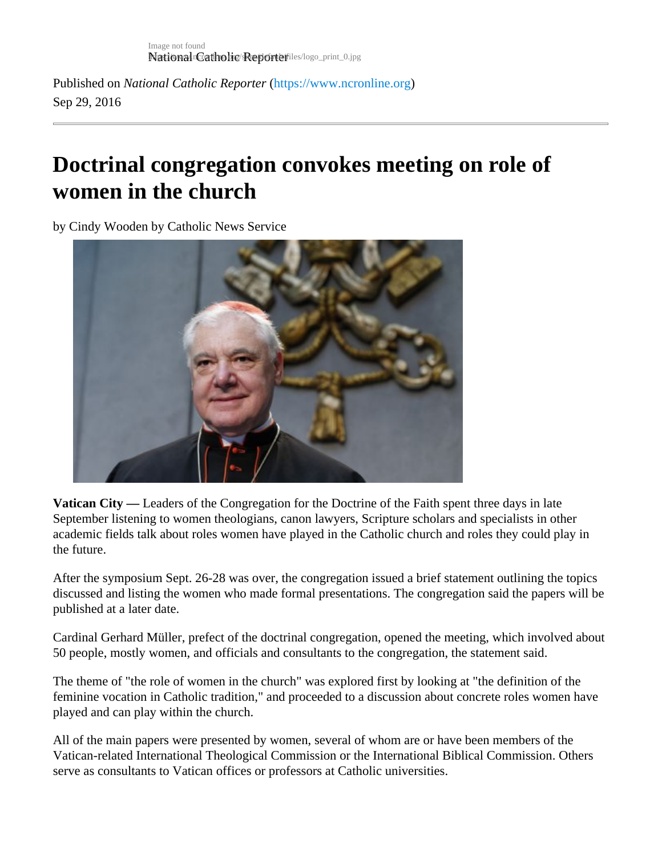Published on National Catholic Repo[r](https://www.ncronline.org)terhttps://www.ncronline.org Sep 29, 2016

## Doctrinal congregation convokes meeting on role of women in the church

by Cindy Wooden by Catholic News Service

Vatican City — Leaders of the Congregation for the Doctrine of the Faith spent three days in late September listening to women theologians, canon lawyers, Scripture scholars and specialists in other academic fields talk about roles women have played in the Catholic church and roles they could play in the future.

After the symposium Sept. 26-28 was over, the congregation issued a brief statement outlining the topics discussed and listing the women who made formal presentations. The congregation said the papers will be published at a later date.

Cardinal Gerhard Müller, prefect of the doctrinal congregation, opened the meeting, which involved about 50 people, mostly women, and officials and consultants to the congregation, the statement said.

The theme of "the role of women in the church" was explored first by looking at "the definition of the feminine vocation in Catholic tradition," and proceeded to a discussion about concrete roles women have played and can play within the church.

All of the main papers were presented by women, several of whom are or have been members of the Vatican-related International Theological Commission or the International Biblical Commission. Others serve as consultants to Vatican offices or professors at Catholic universities.